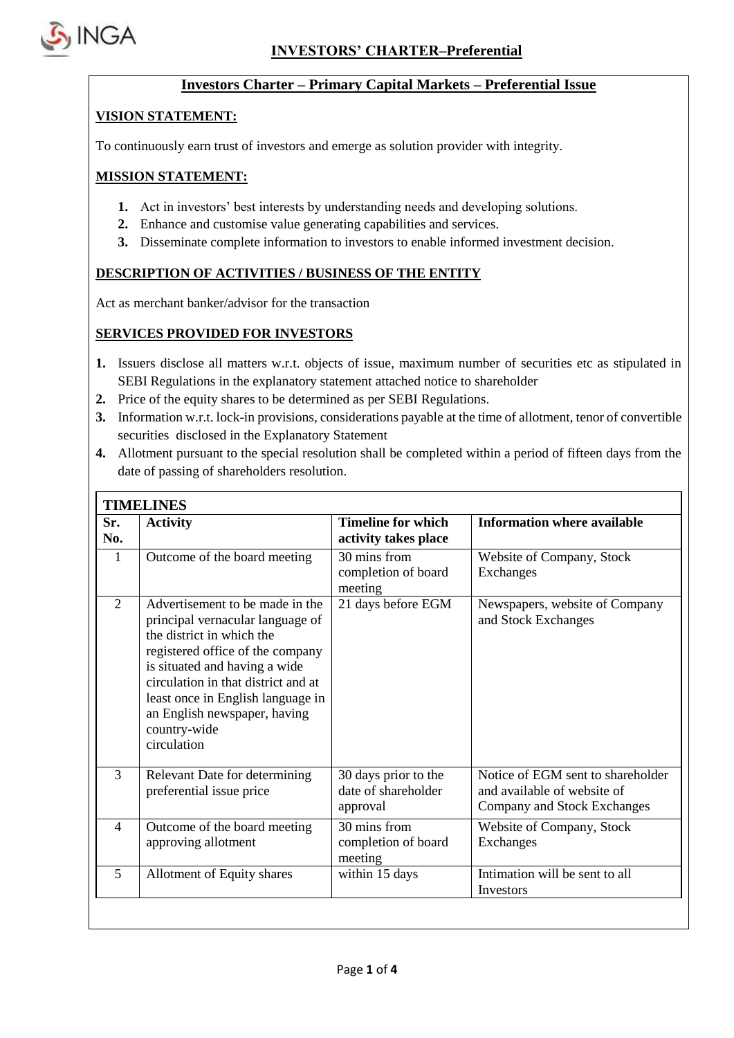

'n

## **Investors Charter – Primary Capital Markets – Preferential Issue**

## **VISION STATEMENT:**

To continuously earn trust of investors and emerge as solution provider with integrity.

#### **MISSION STATEMENT:**

- **1.** Act in investors' best interests by understanding needs and developing solutions.
- **2.** Enhance and customise value generating capabilities and services.
- **3.** Disseminate complete information to investors to enable informed investment decision.

## **DESCRIPTION OF ACTIVITIES / BUSINESS OF THE ENTITY**

Act as merchant banker/advisor for the transaction

## **SERVICES PROVIDED FOR INVESTORS**

- **1.** Issuers disclose all matters w.r.t. objects of issue, maximum number of securities etc as stipulated in SEBI Regulations in the explanatory statement attached notice to shareholder
- **2.** Price of the equity shares to be determined as per SEBI Regulations.
- **3.** Information w.r.t. lock-in provisions, considerations payable at the time of allotment, tenor of convertible securities disclosed in the Explanatory Statement
- **4.** Allotment pursuant to the special resolution shall be completed within a period of fifteen days from the date of passing of shareholders resolution.

| Sr.<br>No.               | <b>Activity</b>                                                                                                                                                                                                                                                                                                  | <b>Timeline for which</b><br>activity takes place       | <b>Information where available</b>                                                              |
|--------------------------|------------------------------------------------------------------------------------------------------------------------------------------------------------------------------------------------------------------------------------------------------------------------------------------------------------------|---------------------------------------------------------|-------------------------------------------------------------------------------------------------|
| 1                        | Outcome of the board meeting                                                                                                                                                                                                                                                                                     | 30 mins from<br>completion of board<br>meeting          | Website of Company, Stock<br>Exchanges                                                          |
| $\overline{2}$           | Advertisement to be made in the<br>principal vernacular language of<br>the district in which the<br>registered office of the company<br>is situated and having a wide<br>circulation in that district and at<br>least once in English language in<br>an English newspaper, having<br>country-wide<br>circulation | 21 days before EGM                                      | Newspapers, website of Company<br>and Stock Exchanges                                           |
| 3                        | Relevant Date for determining<br>preferential issue price                                                                                                                                                                                                                                                        | 30 days prior to the<br>date of shareholder<br>approval | Notice of EGM sent to shareholder<br>and available of website of<br>Company and Stock Exchanges |
| $\overline{\mathcal{A}}$ | Outcome of the board meeting<br>approving allotment                                                                                                                                                                                                                                                              | 30 mins from<br>completion of board<br>meeting          | Website of Company, Stock<br>Exchanges                                                          |
| 5                        | Allotment of Equity shares                                                                                                                                                                                                                                                                                       | within 15 days                                          | Intimation will be sent to all<br>Investors                                                     |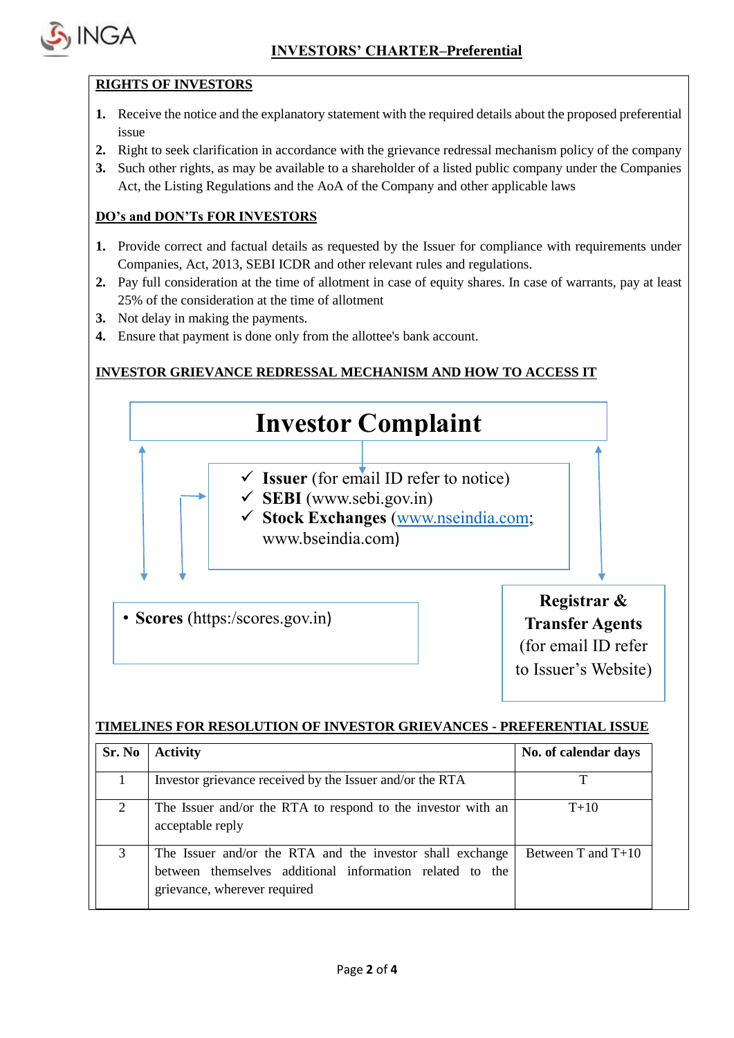

# **RIGHTS OF INVESTORS**

- **1.** Receive the notice and the explanatory statement with the required details about the proposed preferential issue
- **2.** Right to seek clarification in accordance with the grievance redressal mechanism policy of the company
- **3.** Such other rights, as may be available to a shareholder of a listed public company under the Companies Act, the Listing Regulations and the AoA of the Company and other applicable laws

# **DO's and DON'Ts FOR INVESTORS**

- **1.** Provide correct and factual details as requested by the Issuer for compliance with requirements under Companies, Act, 2013, SEBI ICDR and other relevant rules and regulations.
- **2.** Pay full consideration at the time of allotment in case of equity shares. In case of warrants, pay at least 25% of the consideration at the time of allotment
- **3.** Not delay in making the payments.
- **4.** Ensure that payment is done only from the allottee's bank account.

# **INVESTOR GRIEVANCE REDRESSAL MECHANISM AND HOW TO ACCESS IT**



## **TIMELINES FOR RESOLUTION OF INVESTOR GRIEVANCES - PREFERENTIAL ISSUE**

| Sr. No | <b>Activity</b>                                                                                                                                       | No. of calendar days |
|--------|-------------------------------------------------------------------------------------------------------------------------------------------------------|----------------------|
|        | Investor grievance received by the Issuer and/or the RTA                                                                                              | т                    |
|        | The Issuer and/or the RTA to respond to the investor with an<br>acceptable reply                                                                      | $T+10$               |
| 3      | The Issuer and/or the RTA and the investor shall exchange<br>between themselves additional information related to the<br>grievance, wherever required | Between T and $T+10$ |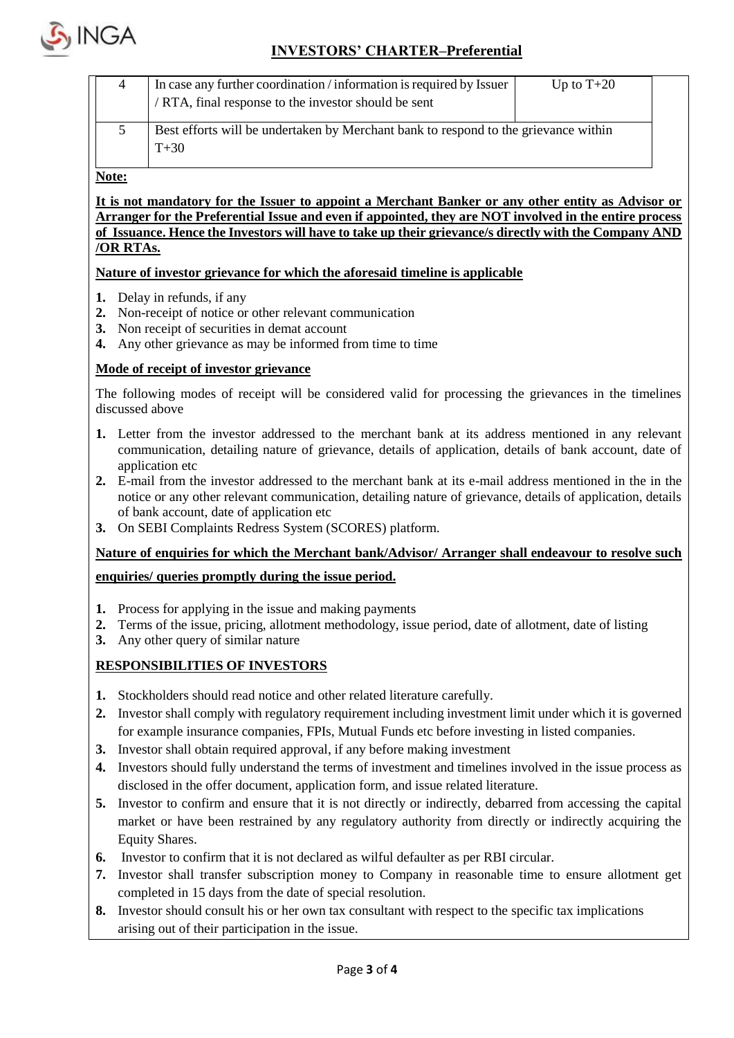

# **INVESTORS' CHARTER–Preferential**

| In case any further coordination / information is required by Issuer<br>/ RTA, final response to the investor should be sent | Up to $T+20$ |  |
|------------------------------------------------------------------------------------------------------------------------------|--------------|--|
| Best efforts will be undertaken by Merchant bank to respond to the grievance within<br>$T + 30$                              |              |  |

**Note:**

**It is not mandatory for the Issuer to appoint a Merchant Banker or any other entity as Advisor or Arranger for the Preferential Issue and even if appointed, they are NOT involved in the entire process of Issuance. Hence the Investors will have to take up their grievance/s directly with the Company AND /OR RTAs.**

#### **Nature of investor grievance for which the aforesaid timeline is applicable**

- **1.** Delay in refunds, if any
- **2.** Non-receipt of notice or other relevant communication
- **3.** Non receipt of securities in demat account
- **4.** Any other grievance as may be informed from time to time

#### **Mode of receipt of investor grievance**

The following modes of receipt will be considered valid for processing the grievances in the timelines discussed above

- **1.** Letter from the investor addressed to the merchant bank at its address mentioned in any relevant communication, detailing nature of grievance, details of application, details of bank account, date of application etc
- **2.** E-mail from the investor addressed to the merchant bank at its e-mail address mentioned in the in the notice or any other relevant communication, detailing nature of grievance, details of application, details of bank account, date of application etc
- **3.** On SEBI Complaints Redress System (SCORES) platform.

## **Nature of enquiries for which the Merchant bank/Advisor/ Arranger shall endeavour to resolve such**

#### **enquiries/ queries promptly during the issue period.**

- **1.** Process for applying in the issue and making payments
- **2.** Terms of the issue, pricing, allotment methodology, issue period, date of allotment, date of listing
- **3.** Any other query of similar nature

## **RESPONSIBILITIES OF INVESTORS**

- **1.** Stockholders should read notice and other related literature carefully.
- **2.** Investor shall comply with regulatory requirement including investment limit under which it is governed for example insurance companies, FPIs, Mutual Funds etc before investing in listed companies.
- **3.** Investor shall obtain required approval, if any before making investment
- **4.** Investors should fully understand the terms of investment and timelines involved in the issue process as disclosed in the offer document, application form, and issue related literature.
- **5.** Investor to confirm and ensure that it is not directly or indirectly, debarred from accessing the capital market or have been restrained by any regulatory authority from directly or indirectly acquiring the Equity Shares.
- **6.** Investor to confirm that it is not declared as wilful defaulter as per RBI circular.
- **7.** Investor shall transfer subscription money to Company in reasonable time to ensure allotment get completed in 15 days from the date of special resolution.
- **8.** Investor should consult his or her own tax consultant with respect to the specific tax implications arising out of their participation in the issue.